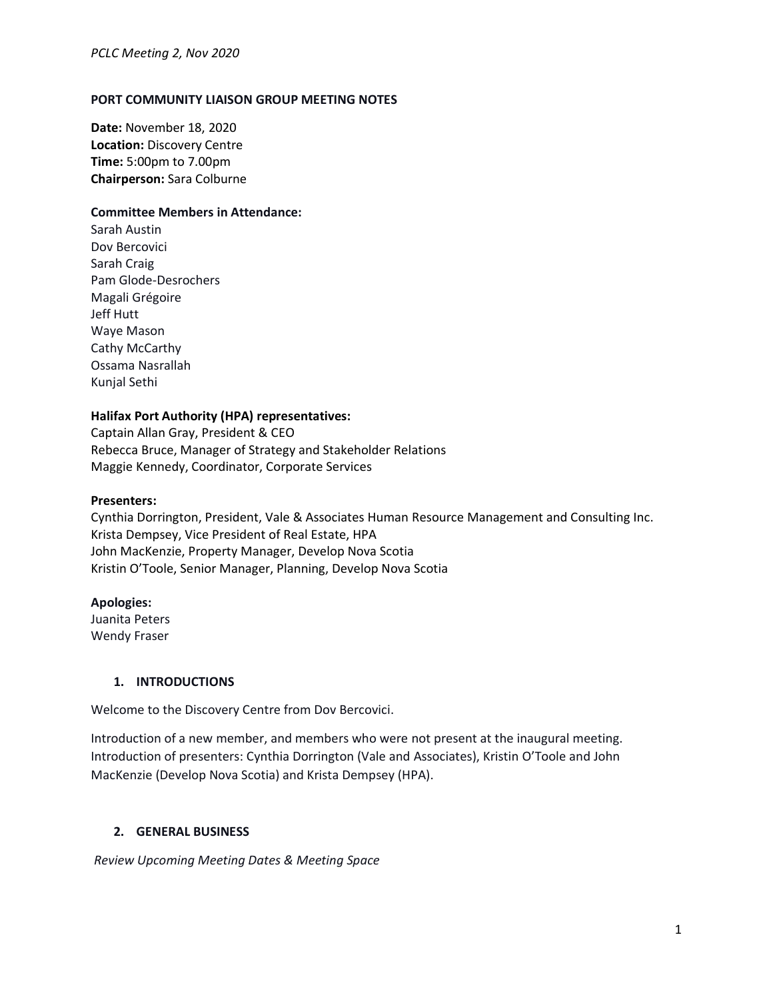#### **PORT COMMUNITY LIAISON GROUP MEETING NOTES**

**Date:** November 18, 2020 **Location:** Discovery Centre **Time:** 5:00pm to 7.00pm **Chairperson:** Sara Colburne

#### **Committee Members in Attendance:**

Sarah Austin Dov Bercovici Sarah Craig Pam Glode-Desrochers Magali Grégoire Jeff Hutt Waye Mason Cathy McCarthy Ossama Nasrallah Kunjal Sethi

#### **Halifax Port Authority (HPA) representatives:**

Captain Allan Gray, President & CEO Rebecca Bruce, Manager of Strategy and Stakeholder Relations Maggie Kennedy, Coordinator, Corporate Services

#### **Presenters:**

Cynthia Dorrington, President, Vale & Associates Human Resource Management and Consulting Inc. Krista Dempsey, Vice President of Real Estate, HPA John MacKenzie, Property Manager, Develop Nova Scotia Kristin O'Toole, Senior Manager, Planning, Develop Nova Scotia

#### **Apologies:**

Juanita Peters Wendy Fraser

#### **1. INTRODUCTIONS**

Welcome to the Discovery Centre from Dov Bercovici.

Introduction of a new member, and members who were not present at the inaugural meeting. Introduction of presenters: Cynthia Dorrington (Vale and Associates), Kristin O'Toole and John MacKenzie (Develop Nova Scotia) and Krista Dempsey (HPA).

### **2. GENERAL BUSINESS**

*Review Upcoming Meeting Dates & Meeting Space*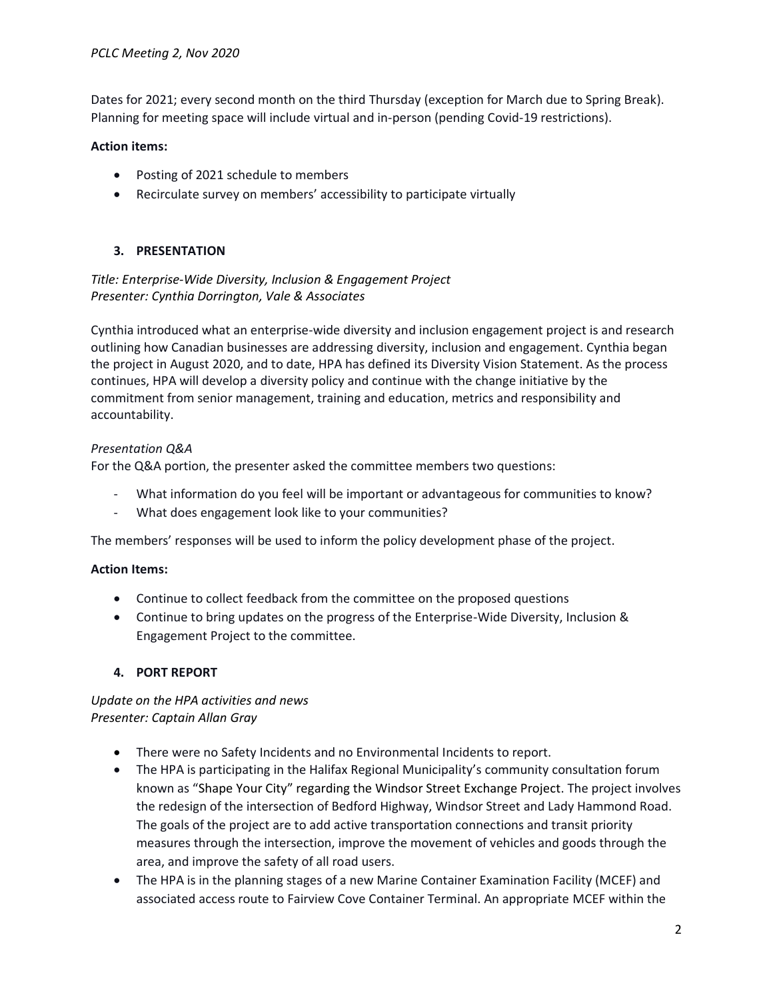Dates for 2021; every second month on the third Thursday (exception for March due to Spring Break). Planning for meeting space will include virtual and in-person (pending Covid-19 restrictions).

## **Action items:**

- Posting of 2021 schedule to members
- Recirculate survey on members' accessibility to participate virtually

# **3. PRESENTATION**

## *Title: Enterprise-Wide Diversity, Inclusion & Engagement Project Presenter: Cynthia Dorrington, Vale & Associates*

Cynthia introduced what an enterprise-wide diversity and inclusion engagement project is and research outlining how Canadian businesses are addressing diversity, inclusion and engagement. Cynthia began the project in August 2020, and to date, HPA has defined its Diversity Vision Statement. As the process continues, HPA will develop a diversity policy and continue with the change initiative by the commitment from senior management, training and education, metrics and responsibility and accountability.

### *Presentation Q&A*

For the Q&A portion, the presenter asked the committee members two questions:

- What information do you feel will be important or advantageous for communities to know?
- What does engagement look like to your communities?

The members' responses will be used to inform the policy development phase of the project.

#### **Action Items:**

- Continue to collect feedback from the committee on the proposed questions
- Continue to bring updates on the progress of the Enterprise-Wide Diversity, Inclusion & Engagement Project to the committee.

# **4. PORT REPORT**

### *Update on the HPA activities and news Presenter: Captain Allan Gray*

- There were no Safety Incidents and no Environmental Incidents to report.
- The HPA is participating in the Halifax Regional Municipality's community consultation forum known as "Shape Your City" regarding the Windsor Street Exchange Project. The project involves the redesign of the intersection of Bedford Highway, Windsor Street and Lady Hammond Road. The goals of the project are to add active transportation connections and transit priority measures through the intersection, improve the movement of vehicles and goods through the area, and improve the safety of all road users.
- The HPA is in the planning stages of a new Marine Container Examination Facility (MCEF) and associated access route to Fairview Cove Container Terminal. An appropriate MCEF within the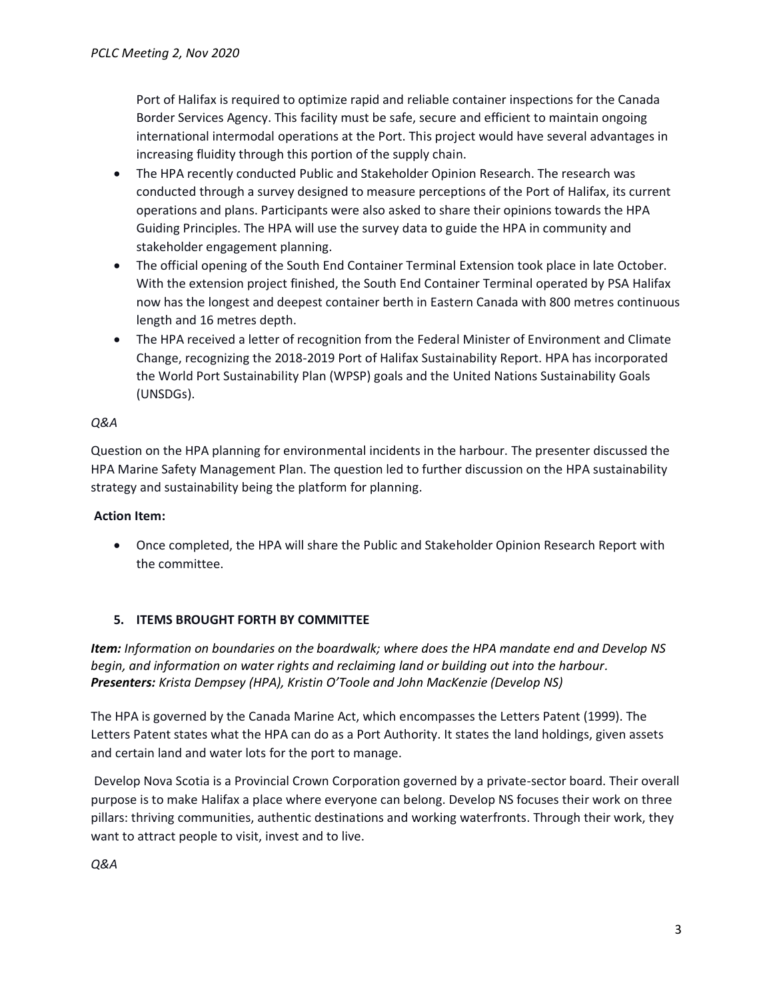Port of Halifax is required to optimize rapid and reliable container inspections for the Canada Border Services Agency. This facility must be safe, secure and efficient to maintain ongoing international intermodal operations at the Port. This project would have several advantages in increasing fluidity through this portion of the supply chain.

- The HPA recently conducted Public and Stakeholder Opinion Research. The research was conducted through a survey designed to measure perceptions of the Port of Halifax, its current operations and plans. Participants were also asked to share their opinions towards the HPA Guiding Principles. The HPA will use the survey data to guide the HPA in community and stakeholder engagement planning.
- The official opening of the South End Container Terminal Extension took place in late October. With the extension project finished, the South End Container Terminal operated by PSA Halifax now has the longest and deepest container berth in Eastern Canada with 800 metres continuous length and 16 metres depth.
- The HPA received a letter of recognition from the Federal Minister of Environment and Climate Change, recognizing the 2018-2019 Port of Halifax Sustainability Report. HPA has incorporated the World Port Sustainability Plan (WPSP) goals and the United Nations Sustainability Goals (UNSDGs).

# *Q&A*

Question on the HPA planning for environmental incidents in the harbour. The presenter discussed the HPA Marine Safety Management Plan. The question led to further discussion on the HPA sustainability strategy and sustainability being the platform for planning.

# **Action Item:**

• Once completed, the HPA will share the Public and Stakeholder Opinion Research Report with the committee.

# **5. ITEMS BROUGHT FORTH BY COMMITTEE**

*Item: Information on boundaries on the boardwalk; where does the HPA mandate end and Develop NS begin, and information on water rights and reclaiming land or building out into the harbour. Presenters: Krista Dempsey (HPA), Kristin O'Toole and John MacKenzie (Develop NS)* 

The HPA is governed by the Canada Marine Act, which encompasses the Letters Patent (1999). The Letters Patent states what the HPA can do as a Port Authority. It states the land holdings, given assets and certain land and water lots for the port to manage.

Develop Nova Scotia is a Provincial Crown Corporation governed by a private-sector board. Their overall purpose is to make Halifax a place where everyone can belong. Develop NS focuses their work on three pillars: thriving communities, authentic destinations and working waterfronts. Through their work, they want to attract people to visit, invest and to live.

*Q&A*